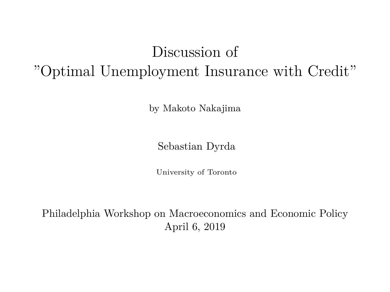## Discussion of "Optimal Unemployment Insurance with Credit"

by Makoto Nakajima

Sebastian Dyrda

University of Toronto

Philadelphia Workshop on Macroeconomics and Economic Policy April 6, 2019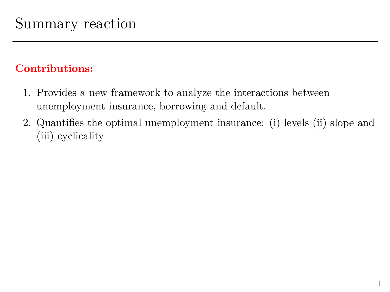### **Contributions:**

- 1. Provides a new framework to analyze the interactions between unemployment insurance, borrowing and default.
- 2. Quantifies the optimal unemployment insurance: (i) levels (ii) slope and (iii) cyclicality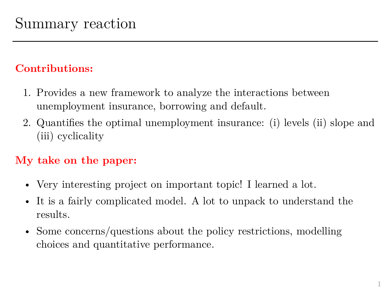### **Contributions:**

- 1. Provides a new framework to analyze the interactions between unemployment insurance, borrowing and default.
- 2. Quantifies the optimal unemployment insurance: (i) levels (ii) slope and (iii) cyclicality

## **My take on the paper:**

- Very interesting project on important topic! I learned a lot.
- It is a fairly complicated model. A lot to unpack to understand the results.
- Some concerns/questions about the policy restrictions, modelling choices and quantitative performance.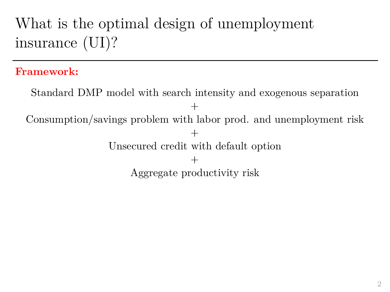# What is the optimal design of unemployment insurance (UI)?

#### **Framework:**

Standard DMP model with search intensity and exogenous separation + Consumption/savings problem with labor prod. and unemployment risk  $+$ Unsecured credit with default option  $^{+}$ Aggregate productivity risk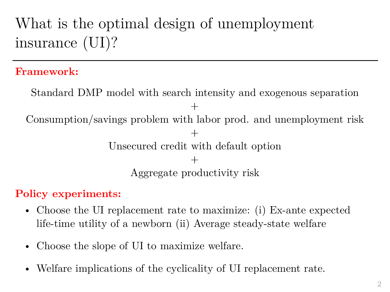# What is the optimal design of unemployment insurance (UI)?

#### **Framework:**

Standard DMP model with search intensity and exogenous separation + Consumption/savings problem with labor prod. and unemployment risk  $+$ Unsecured credit with default option  $^{+}$ Aggregate productivity risk

#### **Policy experiments:**

- Choose the UI replacement rate to maximize: (i) Ex-ante expected life-time utility of a newborn (ii) Average steady-state welfare
- Choose the slope of UI to maximize welfare.
- Welfare implications of the cyclicality of UI replacement rate.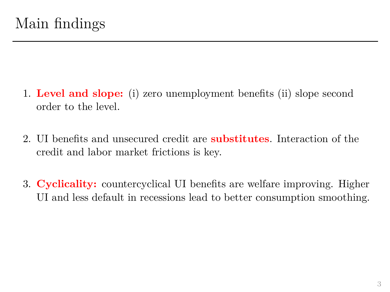- 1. **Level and slope:** (i) zero unemployment benefits (ii) slope second order to the level.
- 2. UI benefits and unsecured credit are **substitutes**. Interaction of the credit and labor market frictions is key.
- 3. **Cyclicality:** countercyclical UI benefits are welfare improving. Higher UI and less default in recessions lead to better consumption smoothing.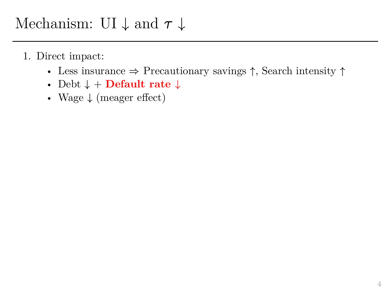- Less insurance  $\Rightarrow$  Precautionary savings  $\uparrow$ , Search intensity  $\uparrow$
- Debt  $\downarrow$  + **Default rate**  $\downarrow$
- Wage  $\downarrow$  (meager effect)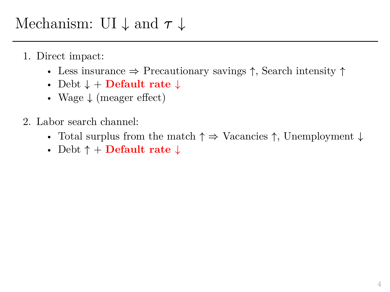- Less insurance  $\Rightarrow$  Precautionary savings  $\uparrow$ , Search intensity  $\uparrow$
- Debt  $\downarrow$  + **Default rate**  $\downarrow$
- Wage  $\downarrow$  (meager effect)
- 2. Labor search channel:
	- Total surplus from the match  $\uparrow \Rightarrow$  Vacancies  $\uparrow$ , Unemployment  $\downarrow$
	- Debt  $\uparrow$  + **Default rate**  $\downarrow$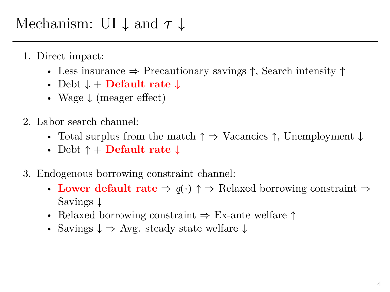- Less insurance  $\Rightarrow$  Precautionary savings  $\uparrow$ , Search intensity  $\uparrow$
- Debt  $\downarrow$  + **Default rate**  $\downarrow$
- Wage  $\downarrow$  (meager effect)
- 2. Labor search channel:
	- Total surplus from the match  $\uparrow \Rightarrow$  Vacancies  $\uparrow$ , Unemployment  $\downarrow$
	- Debt  $\uparrow$  + **Default rate**  $\downarrow$
- 3. Endogenous borrowing constraint channel:
	- Lower default rate  $\Rightarrow q(\cdot) \uparrow \Rightarrow$  Relaxed borrowing constraint  $\Rightarrow$ Savings  $\downarrow$
	- Relaxed borrowing constraint  $\Rightarrow$  Ex-ante welfare  $\uparrow$
	- Savings  $\downarrow \Rightarrow$  Avg. steady state welfare  $\downarrow$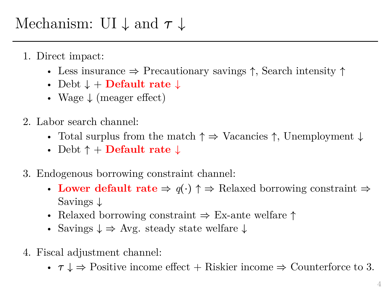- Less insurance  $\Rightarrow$  Precautionary savings  $\uparrow$ , Search intensity  $\uparrow$
- Debt  $\downarrow$  + **Default rate**  $\downarrow$
- Wage  $\downarrow$  (meager effect)
- 2. Labor search channel:
	- Total surplus from the match  $\uparrow \Rightarrow$  Vacancies  $\uparrow$ , Unemployment  $\downarrow$
	- Debt  $\uparrow$  + **Default rate**  $\downarrow$
- 3. Endogenous borrowing constraint channel:
	- Lower default rate  $\Rightarrow q(\cdot) \uparrow \Rightarrow$  Relaxed borrowing constraint  $\Rightarrow$ Savings  $\downarrow$
	- Relaxed borrowing constraint  $\Rightarrow$  Ex-ante welfare  $\uparrow$
	- Savings  $\downarrow \Rightarrow$  Avg. steady state welfare  $\downarrow$
- 4. Fiscal adjustment channel:
	- $\tau \downarrow \Rightarrow$  Positive income effect + Riskier income  $\Rightarrow$  Counterforce to 3.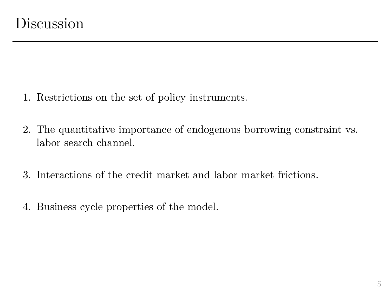- 1. Restrictions on the set of policy instruments.
- 2. The quantitative importance of endogenous borrowing constraint vs. labor search channel.
- 3. Interactions of the credit market and labor market frictions.
- 4. Business cycle properties of the model.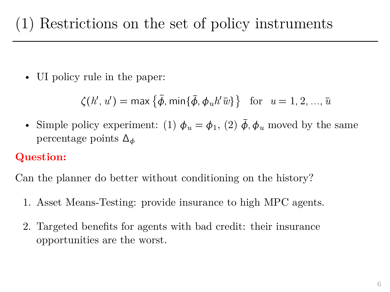• UI policy rule in the paper:

$$
\zeta(h',u') = \max\left\{\tilde{\phi},\min\{\bar{\phi},\phi_uh'\bar{w}\}\right\} \text{ for } u = 1,2,...,\bar{u}
$$

• Simple policy experiment: (1)  $\phi_u = \phi_1$ , (2)  $\phi$ ,  $\phi_u$  moved by the same percentage points  $\Delta_{\phi}$ 

## **Question:**

Can the planner do better without conditioning on the history?

- 1. Asset Means-Testing: provide insurance to high MPC agents.
- 2. Targeted benefits for agents with bad credit: their insurance opportunities are the worst.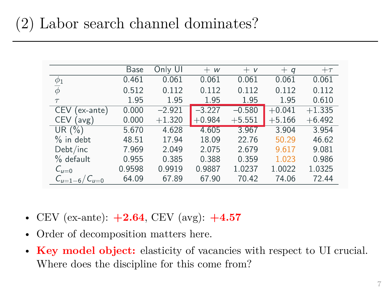|                     | <b>Base</b> | Only UI  | $+ w$    | $+V$     | $+ q$    | $+\tau$  |
|---------------------|-------------|----------|----------|----------|----------|----------|
| $\phi_1$            | 0.461       | 0.061    | 0.061    | 0.061    | 0.061    | 0.061    |
| $\overline{\phi}$   | 0.512       | 0.112    | 0.112    | 0.112    | 0.112    | 0.112    |
| $\tau$              | 1.95        | 1.95     | 1.95     | 1.95     | 1.95     | 0.610    |
| CEV.<br>(ex-ante)   | 0.000       | $-2.921$ | $-3.227$ | $-0.580$ | $+0.041$ | $+1.335$ |
| <b>CEV</b><br>(avg) | 0.000       | $+1.320$ | $+0.984$ | $+5.551$ | $+5.166$ | $+6.492$ |
| UR $(\%)$           | 5.670       | 4.628    | 4.605    | 3.967    | 3.904    | 3.954    |
| $%$ in debt         | 48.51       | 17.94    | 18.09    | 22.76    | 50.29    | 46.62    |
| Debt/inc            | 7.969       | 2.049    | 2.075    | 2.679    | 9.617    | 9.081    |
| $%$ default         | 0.955       | 0.385    | 0.388    | 0.359    | 1.023    | 0.986    |
| $C_{u=0}$           | 0.9598      | 0.9919   | 0.9887   | 1.0237   | 1.0022   | 1.0325   |
| $C_{u=1-6}/C_{u=0}$ | 64.09       | 67.89    | 67.90    | 70.42    | 74.06    | 72.44    |

- CEV (ex-ante): **+2.64**, CEV (avg): **+4.57**
- Order of decomposition matters here.
- **Key model object:** elasticity of vacancies with respect to UI crucial. Where does the discipline for this come from?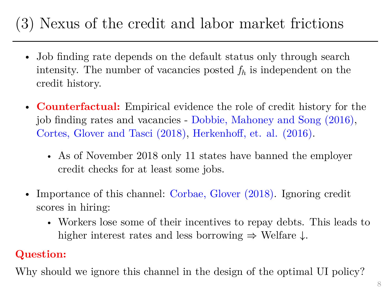## (3) Nexus of the credit and labor market frictions

- Job finding rate depends on the default status only through search intensity. The number of vacancies posted  $f_h$  is independent on the credit history.
- **Counterfactual:** Empirical evidence the role of credit history for the job finding rates and vacancies - Dobbie, Mahoney and Song (2016), Cortes, Glover and Tasci (2018), Herkenhoff, et. al. (2016).
	- As of November 2018 only 11 states have banned the employer credit checks for at least some jobs.
- Importance of this channel: Corbae, Glover (2018). Ignoring credit scores in hiring:
	- Workers lose some of their incentives to repay debts. This leads to higher interest rates and less borrowing  $\Rightarrow$  Welfare  $\downarrow$ .

### **Question:**

Why should we ignore this channel in the design of the optimal UI policy?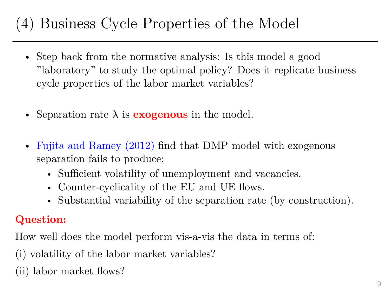## (4) Business Cycle Properties of the Model

- Step back from the normative analysis: Is this model a good "laboratory" to study the optimal policy? Does it replicate business cycle properties of the labor market variables?
- Separation rate  $\lambda$  is **exogenous** in the model.
- Fujita and Ramey (2012) find that DMP model with exogenous separation fails to produce:
	- Sufficient volatility of unemployment and vacancies.
	- Counter-cyclicality of the EU and UE flows.
	- Substantial variability of the separation rate (by construction).

## **Question:**

How well does the model perform vis-a-vis the data in terms of:

- (i) volatility of the labor market variables?
- (ii) labor market flows?